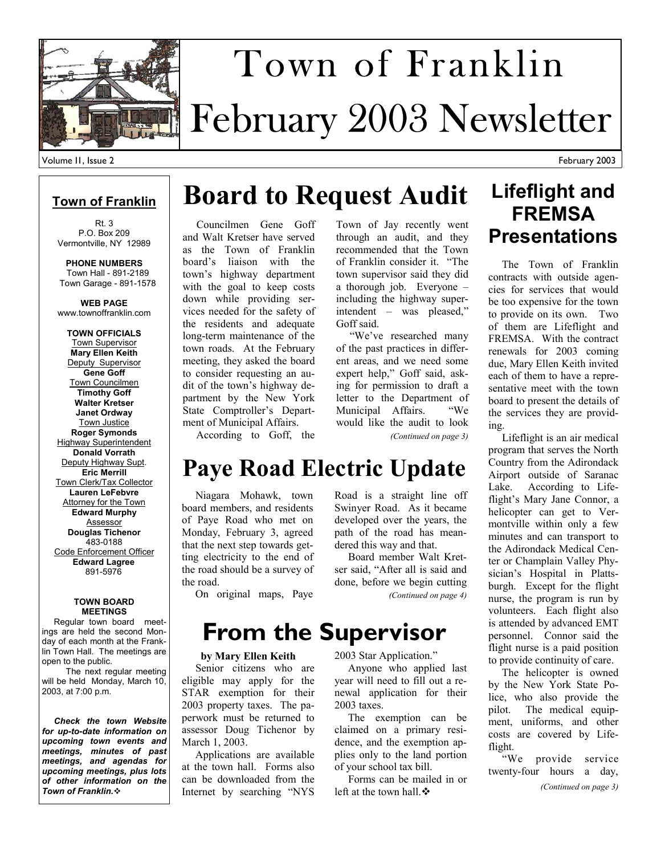

# February 2003 Newsletter Town of Franklin

#### **Town of Franklin**

Rt. 3 P.O. Box 209 Vermontville, NY 12989

**PHONE NUMBERS**  Town Hall - 891-2189 Town Garage - 891-1578

**WEB PAGE**  www.townoffranklin.com

**TOWN OFFICIALS**  Town Supervisor **Mary Ellen Keith**  Deputy Supervisor **Gene Goff**  Town Councilmen **Timothy Goff Walter Kretser Janet Ordway**  Town Justice **Roger Symonds**  Highway Superintendent **Donald Vorrath**  Deputy Highway Supt. **Eric Merrill**  Town Clerk/Tax Collector **Lauren LeFebvre Attorney for the Town Edward Murphy**  Assessor **Douglas Tichenor**  483-0188 Code Enforcement Officer **Edward Lagree**  891-5976

#### **TOWN BOARD MEETINGS**

 Regular town board meetings are held the second Monday of each month at the Franklin Town Hall. The meetings are open to the public.

 The next regular meeting will be held Monday, March 10, 2003, at 7:00 p.m.

 *Check the town Website for up-to-date information on upcoming town events and meetings, minutes of past meetings, and agendas for upcoming meetings, plus lots of other information on the Town of Franklin.*

# **Board to Request Audit**

 Councilmen Gene Goff and Walt Kretser have served as the Town of Franklin board's liaison with the town's highway department with the goal to keep costs down while providing services needed for the safety of the residents and adequate long-term maintenance of the town roads. At the February meeting, they asked the board to consider requesting an audit of the town's highway department by the New York State Comptroller's Department of Municipal Affairs.

According to Goff, the

 Niagara Mohawk, town board members, and residents of Paye Road who met on Monday, February 3, agreed that the next step towards getting electricity to the end of the road should be a survey of Town of Jay recently went through an audit, and they recommended that the Town of Franklin consider it. "The town supervisor said they did a thorough job. Everyone – including the highway superintendent – was pleased," Goff said.

 "We've researched many of the past practices in different areas, and we need some expert help," Goff said, asking for permission to draft a letter to the Department of<br>Municipal Affairs "We Municipal Affairs. would like the audit to look *(Continued on page 3)* 

#### **Lifeflight and FREMSA Presentations**

 The Town of Franklin contracts with outside agencies for services that would be too expensive for the town to provide on its own. Two of them are Lifeflight and FREMSA. With the contract renewals for 2003 coming due, Mary Ellen Keith invited each of them to have a representative meet with the town board to present the details of the services they are providing.

 Lifeflight is an air medical program that serves the North Country from the Adirondack Airport outside of Saranac Lake. According to Lifeflight's Mary Jane Connor, a helicopter can get to Vermontville within only a few minutes and can transport to the Adirondack Medical Center or Champlain Valley Physician's Hospital in Plattsburgh. Except for the flight nurse, the program is run by volunteers. Each flight also is attended by advanced EMT personnel. Connor said the flight nurse is a paid position to provide continuity of care.

 The helicopter is owned by the New York State Police, who also provide the pilot. The medical equipment, uniforms, and other costs are covered by Lifeflight.

 "We provide service twenty-four hours a day, *(Continued on page 3)* 

Board member Walt Kret-

On original maps, Paye

the road.

# **From the Supervisor**

**Paye Road Electric Update** 

#### **by Mary Ellen Keith**

 Senior citizens who are eligible may apply for the STAR exemption for their 2003 property taxes. The paperwork must be returned to assessor Doug Tichenor by March 1, 2003.

 Applications are available at the town hall. Forms also can be downloaded from the Internet by searching "NYS Road is a straight line off Swinyer Road. As it became developed over the years, the path of the road has meandered this way and that.

ser said, "After all is said and done, before we begin cutting *(Continued on page 4)* 

2003 Star Application."

 Anyone who applied last year will need to fill out a renewal application for their 2003 taxes.

 The exemption can be claimed on a primary residence, and the exemption applies only to the land portion of your school tax bill.

 Forms can be mailed in or left at the town hall.  $\mathbf{\hat{P}}$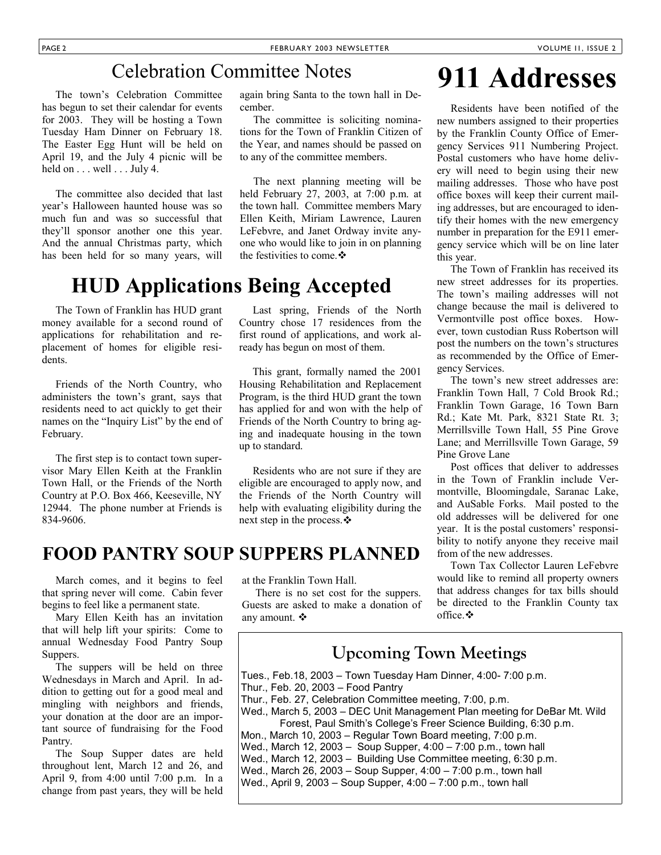#### Celebration Committee Notes

 The town's Celebration Committee has begun to set their calendar for events for 2003. They will be hosting a Town Tuesday Ham Dinner on February 18. The Easter Egg Hunt will be held on April 19, and the July 4 picnic will be held on  $\dots$  well  $\dots$  July 4.

 The committee also decided that last year's Halloween haunted house was so much fun and was so successful that they'll sponsor another one this year. And the annual Christmas party, which has been held for so many years, will

again bring Santa to the town hall in December.

 The committee is soliciting nominations for the Town of Franklin Citizen of the Year, and names should be passed on to any of the committee members.

 The next planning meeting will be held February 27, 2003, at 7:00 p.m. at the town hall. Committee members Mary Ellen Keith, Miriam Lawrence, Lauren LeFebvre, and Janet Ordway invite anyone who would like to join in on planning the festivities to come.

#### **HUD Applications Being Accepted**

 The Town of Franklin has HUD grant money available for a second round of applications for rehabilitation and replacement of homes for eligible residents.

 Friends of the North Country, who administers the town's grant, says that residents need to act quickly to get their names on the "Inquiry List" by the end of February.

 The first step is to contact town supervisor Mary Ellen Keith at the Franklin Town Hall, or the Friends of the North Country at P.O. Box 466, Keeseville, NY 12944. The phone number at Friends is 834-9606.

 Last spring, Friends of the North Country chose 17 residences from the first round of applications, and work already has begun on most of them.

 This grant, formally named the 2001 Housing Rehabilitation and Replacement Program, is the third HUD grant the town has applied for and won with the help of Friends of the North Country to bring aging and inadequate housing in the town up to standard.

 Residents who are not sure if they are eligible are encouraged to apply now, and the Friends of the North Country will help with evaluating eligibility during the next step in the process. ❖

#### **FOOD PANTRY SOUP SUPPERS PLANNED**

 March comes, and it begins to feel that spring never will come. Cabin fever begins to feel like a permanent state.

 Mary Ellen Keith has an invitation that will help lift your spirits: Come to annual Wednesday Food Pantry Soup Suppers.

 The suppers will be held on three Wednesdays in March and April. In addition to getting out for a good meal and mingling with neighbors and friends, your donation at the door are an important source of fundraising for the Food Pantry.

 The Soup Supper dates are held throughout lent, March 12 and 26, and April 9, from 4:00 until 7:00 p.m. In a change from past years, they will be held

at the Franklin Town Hall.

 There is no set cost for the suppers. Guests are asked to make a donation of any amount.

# **911 Addresses**

 Residents have been notified of the new numbers assigned to their properties by the Franklin County Office of Emergency Services 911 Numbering Project. Postal customers who have home delivery will need to begin using their new mailing addresses. Those who have post office boxes will keep their current mailing addresses, but are encouraged to identify their homes with the new emergency number in preparation for the E911 emergency service which will be on line later this year.

 The Town of Franklin has received its new street addresses for its properties. The town's mailing addresses will not change because the mail is delivered to Vermontville post office boxes. However, town custodian Russ Robertson will post the numbers on the town's structures as recommended by the Office of Emergency Services.

 The town's new street addresses are: Franklin Town Hall, 7 Cold Brook Rd.; Franklin Town Garage, 16 Town Barn Rd.; Kate Mt. Park, 8321 State Rt. 3; Merrillsville Town Hall, 55 Pine Grove Lane; and Merrillsville Town Garage, 59 Pine Grove Lane

 Post offices that deliver to addresses in the Town of Franklin include Vermontville, Bloomingdale, Saranac Lake, and AuSable Forks. Mail posted to the old addresses will be delivered for one year. It is the postal customers' responsibility to notify anyone they receive mail from of the new addresses.

 Town Tax Collector Lauren LeFebvre would like to remind all property owners that address changes for tax bills should be directed to the Franklin County tax office.

#### **Upcoming Town Meetings**

Tues., Feb.18, 2003 – Town Tuesday Ham Dinner, 4:00- 7:00 p.m. Thur., Feb. 20, 2003 – Food Pantry Thur., Feb. 27, Celebration Committee meeting, 7:00, p.m. Wed., March 5, 2003 – DEC Unit Management Plan meeting for DeBar Mt. Wild Forest, Paul Smith's College's Freer Science Building, 6:30 p.m. Mon., March 10, 2003 – Regular Town Board meeting, 7:00 p.m. Wed., March 12, 2003 – Soup Supper, 4:00 – 7:00 p.m., town hall Wed., March 12, 2003 – Building Use Committee meeting, 6:30 p.m. Wed., March 26, 2003 – Soup Supper, 4:00 – 7:00 p.m., town hall Wed., April 9, 2003 – Soup Supper, 4:00 – 7:00 p.m., town hall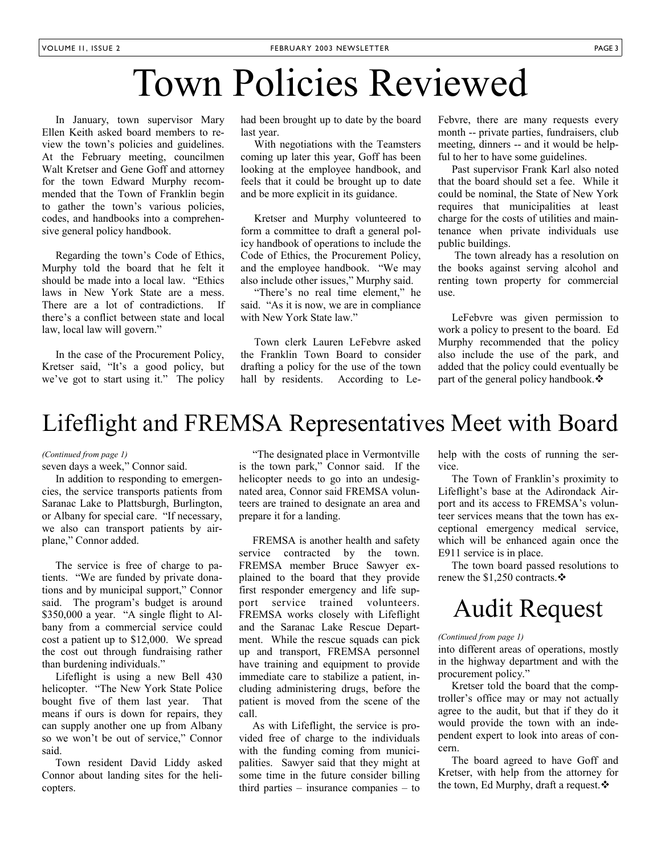# Town Policies Reviewed

 In January, town supervisor Mary Ellen Keith asked board members to review the town's policies and guidelines. At the February meeting, councilmen Walt Kretser and Gene Goff and attorney for the town Edward Murphy recommended that the Town of Franklin begin to gather the town's various policies, codes, and handbooks into a comprehensive general policy handbook.

 Regarding the town's Code of Ethics, Murphy told the board that he felt it should be made into a local law. "Ethics laws in New York State are a mess. There are a lot of contradictions. If there's a conflict between state and local law, local law will govern."

 In the case of the Procurement Policy, Kretser said, "It's a good policy, but we've got to start using it." The policy had been brought up to date by the board last year.

 With negotiations with the Teamsters coming up later this year, Goff has been looking at the employee handbook, and feels that it could be brought up to date and be more explicit in its guidance.

 Kretser and Murphy volunteered to form a committee to draft a general policy handbook of operations to include the Code of Ethics, the Procurement Policy, and the employee handbook. "We may also include other issues," Murphy said.

 "There's no real time element," he said. "As it is now, we are in compliance with New York State law."

 Town clerk Lauren LeFebvre asked the Franklin Town Board to consider drafting a policy for the use of the town hall by residents. According to LeFebvre, there are many requests every month -- private parties, fundraisers, club meeting, dinners -- and it would be helpful to her to have some guidelines.

 Past supervisor Frank Karl also noted that the board should set a fee. While it could be nominal, the State of New York requires that municipalities at least charge for the costs of utilities and maintenance when private individuals use public buildings.

 The town already has a resolution on the books against serving alcohol and renting town property for commercial use.

 LeFebvre was given permission to work a policy to present to the board. Ed Murphy recommended that the policy also include the use of the park, and added that the policy could eventually be part of the general policy handbook.

### Lifeflight and FREMSA Representatives Meet with Board

#### *(Continued from page 1)*

seven days a week," Connor said.

 In addition to responding to emergencies, the service transports patients from Saranac Lake to Plattsburgh, Burlington, or Albany for special care. "If necessary, we also can transport patients by airplane," Connor added.

 The service is free of charge to patients. "We are funded by private donations and by municipal support," Connor said. The program's budget is around \$350,000 a year. "A single flight to Albany from a commercial service could cost a patient up to \$12,000. We spread the cost out through fundraising rather than burdening individuals."

 Lifeflight is using a new Bell 430 helicopter. "The New York State Police bought five of them last year. That means if ours is down for repairs, they can supply another one up from Albany so we won't be out of service," Connor said.

 Town resident David Liddy asked Connor about landing sites for the helicopters.

 "The designated place in Vermontville is the town park," Connor said. If the helicopter needs to go into an undesignated area, Connor said FREMSA volunteers are trained to designate an area and prepare it for a landing.

 FREMSA is another health and safety service contracted by the town. FREMSA member Bruce Sawyer explained to the board that they provide first responder emergency and life support service trained volunteers. FREMSA works closely with Lifeflight and the Saranac Lake Rescue Department. While the rescue squads can pick up and transport, FREMSA personnel have training and equipment to provide immediate care to stabilize a patient, including administering drugs, before the patient is moved from the scene of the call.

 As with Lifeflight, the service is provided free of charge to the individuals with the funding coming from municipalities. Sawyer said that they might at some time in the future consider billing third parties – insurance companies – to help with the costs of running the service.

 The Town of Franklin's proximity to Lifeflight's base at the Adirondack Airport and its access to FREMSA's volunteer services means that the town has exceptional emergency medical service, which will be enhanced again once the E911 service is in place.

 The town board passed resolutions to renew the \$1,250 contracts. $\div$ 

# Audit Request

#### *(Continued from page 1)*

into different areas of operations, mostly in the highway department and with the procurement policy."

 Kretser told the board that the comptroller's office may or may not actually agree to the audit, but that if they do it would provide the town with an independent expert to look into areas of concern.

 The board agreed to have Goff and Kretser, with help from the attorney for the town, Ed Murphy, draft a request.  $\mathbf{\hat{P}}$